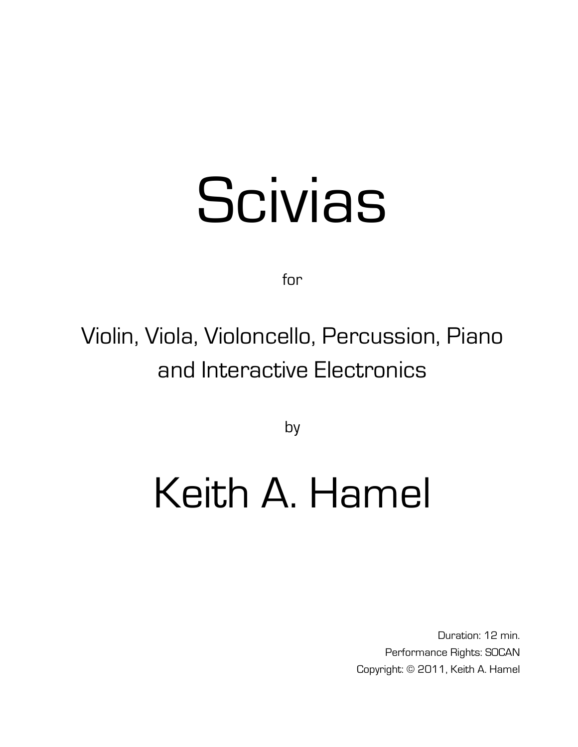# Scivias

for

Violin, Viola, Violoncello, Percussion, Piano and Interactive Electronics

by

## Keith A. Hamel

Duration: 12 min. Performance Rights: SOCAN Copyright: © 2011, Keith A. Hamel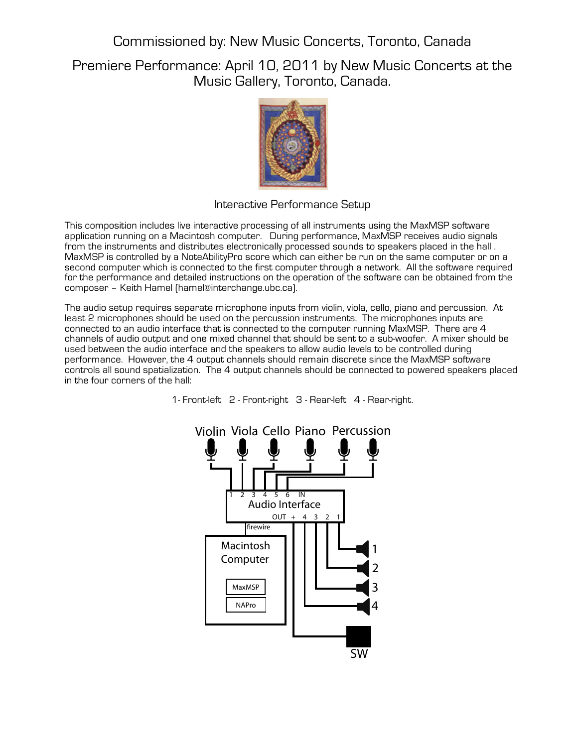### Commissioned by: New Music Concerts, Toronto, Canada

Premiere Performance: April 10, 2011 by New Music Concerts at the Music Gallery, Toronto, Canada.



#### Interactive Performance Setup

This composition includes live interactive processing of all instruments using the MaxMSP software application running on a Macintosh computer. During performance, MaxMSP receives audio signals from the instruments and distributes electronically processed sounds to speakers placed in the hall . MaxMSP is controlled by a NoteAbilityPro score which can either be run on the same computer or on a second computer which is connected to the first computer through a network. All the software required for the performance and detailed instructions on the operation of the software can be obtained from the composer – Keith Hamel (hamel@interchange.ubc.ca).

The audio setup requires separate microphone inputs from violin, viola, cello, piano and percussion. At least 2 microphones should be used on the percussion instruments. The microphones inputs are connected to an audio interface that is connected to the computer running MaxMSP. There are 4 channels of audio output and one mixed channel that should be sent to a sub-woofer. A mixer should be used between the audio interface and the speakers to allow audio levels to be controlled during performance. However, the 4 output channels should remain discrete since the MaxMSP software controls all sound spatialization. The 4 output channels should be connected to powered speakers placed in the four corners of the hall:



1- Front-left 2 - Front-right 3 - Rear-left 4 - Rear-right.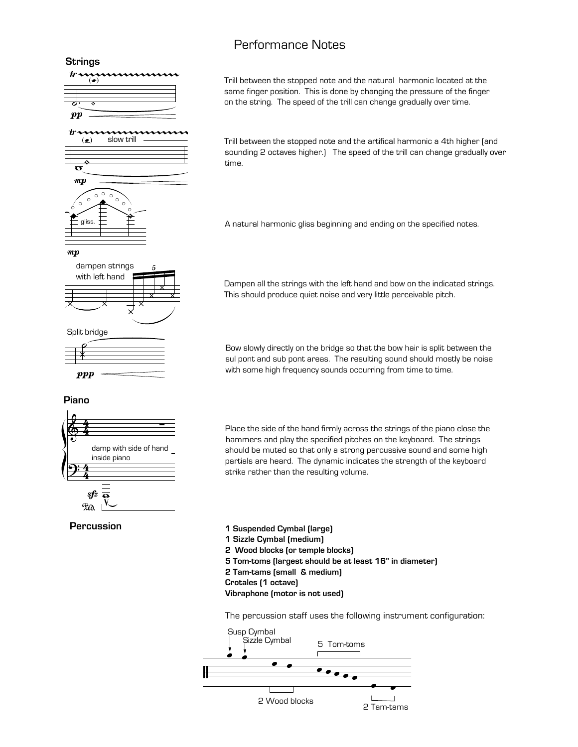#### Performance Notes

#### **Strings**



*ppp* 

**Piano**



Trill between the stopped note and the natural harmonic located at the same finger position. This is done by changing the pressure of the finger on the string. The speed of the trill can change gradually over time.

«~~~~~~~~~~~~~~~~~~~~~~~~~~~~~~~~~~~~~~~~~~~~~~~~~~~~~~~~~~~~~~~~~~~~~~~~~~~~~~~~~~~ Trill between the stopped note and the artifical harmonic a 4th higher (and where the contract of the contract of the contract of the contract of the contract of the contract of the contract of the contract of the contract of the contract of the contract of the contract of the contract of the cont sounding 2 octaves higher.) The speed of the trill can change gradually over time.

A natural harmonic gliss beginning and ending on the specified notes.

Dampen all the strings with the left hand and bow on the indicated strings. This should produce quiet noise and very little perceivable pitch.

Bow slowly directly on the bridge so that the bow hair is split between the sul pont and sub pont areas. The resulting sound should mostly be noise with some high frequency sounds occurring from time to time.

Place the side of the hand firmly across the strings of the piano close the hammers and play the specified pitches on the keyboard. The strings should be muted so that only a strong percussive sound and some high partials are heard. The dynamic indicates the strength of the keyboard strike rather than the resulting volume.

**Percussion 1 Suspended Cymbal (large)**

- **1 Sizzle Cymbal (medium)**
- **2 Wood blocks (or temple blocks)**
- **5 Tom-toms (largest should be at least 16" in diameter)**
- **2 Tam-tams (small & medium)**
- **Crotales (1 octave)**

**Vibraphone (motor is not used)**

The percussion staff uses the following instrument configuration:

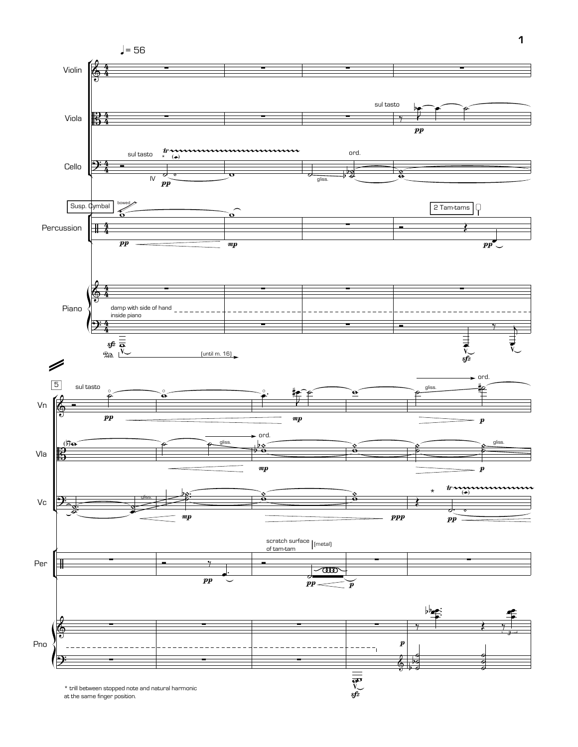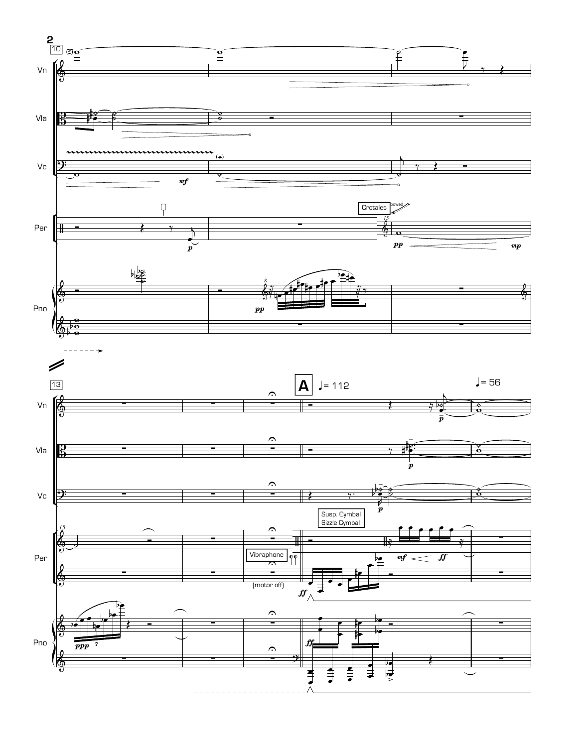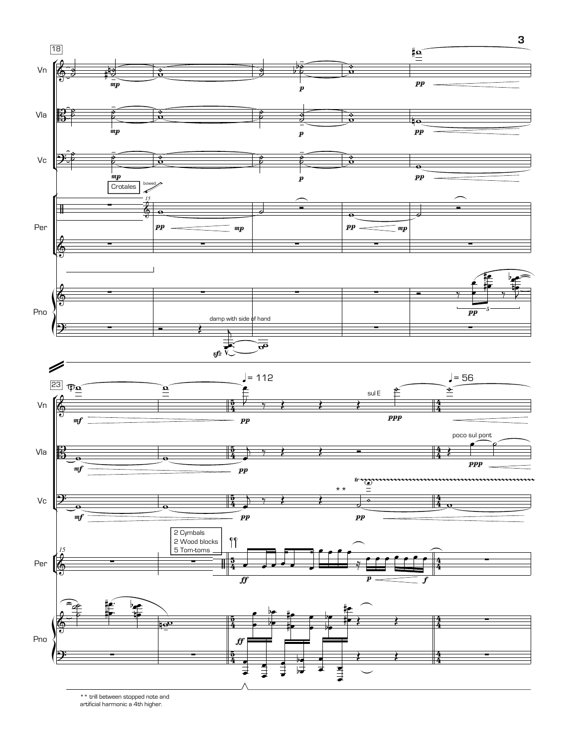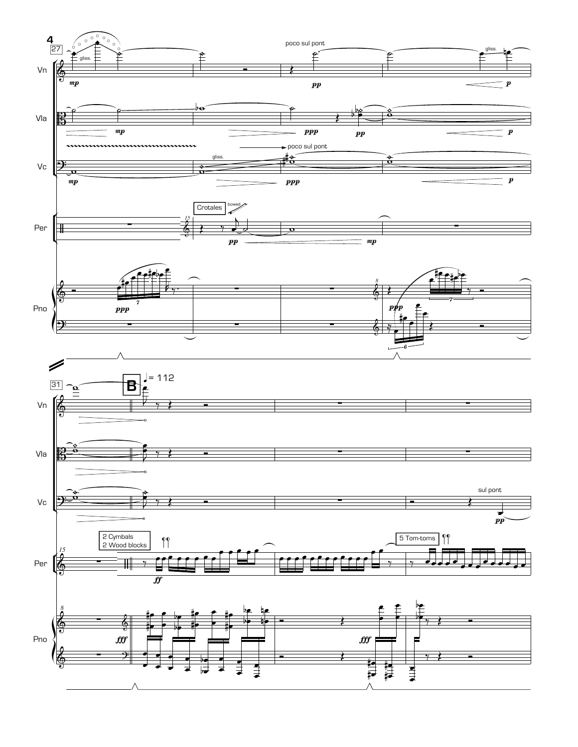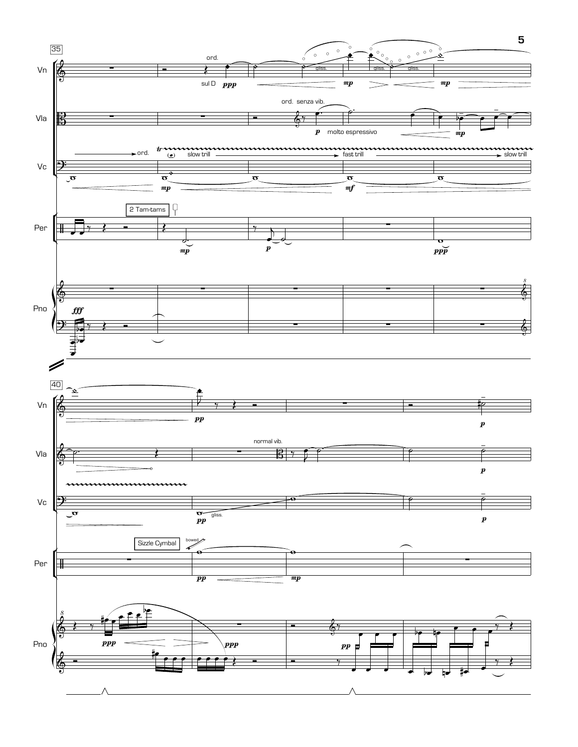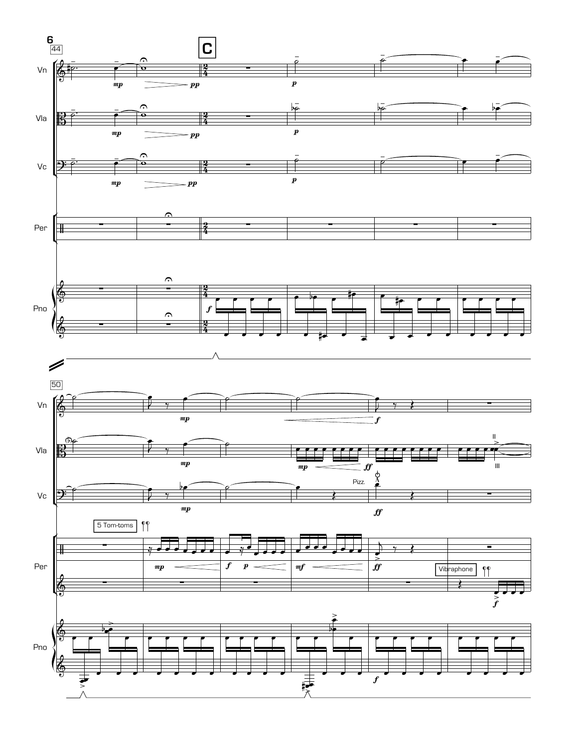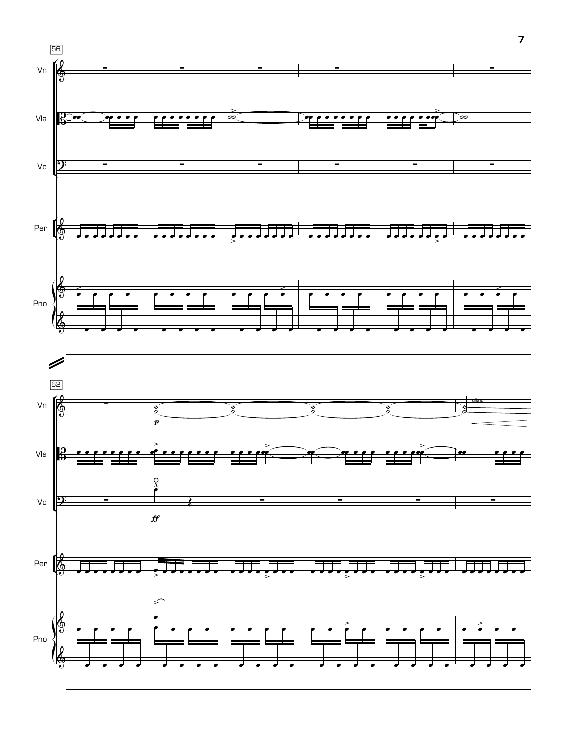

 $\overline{z}$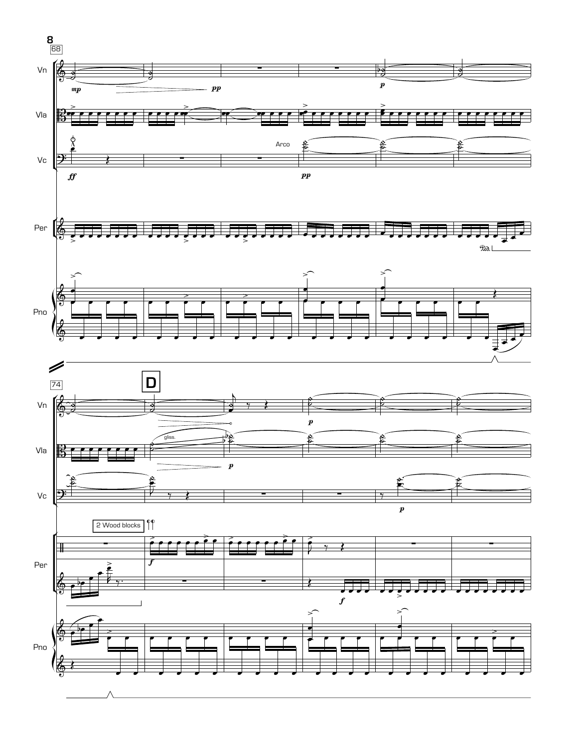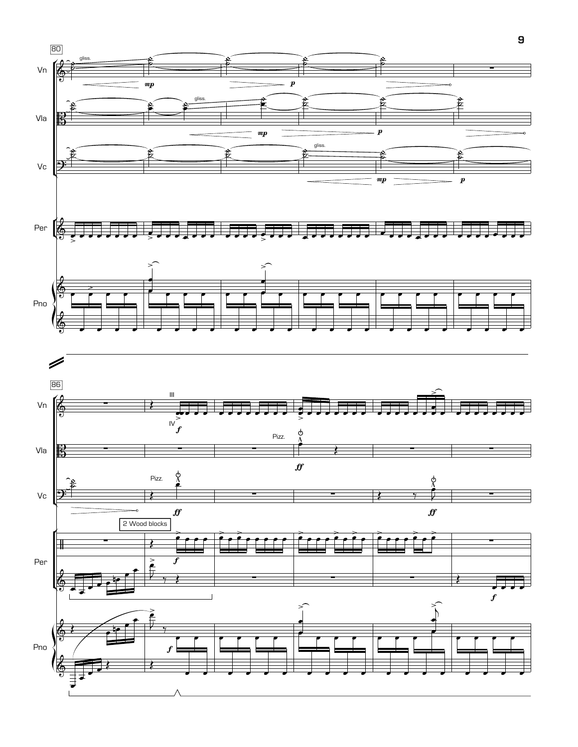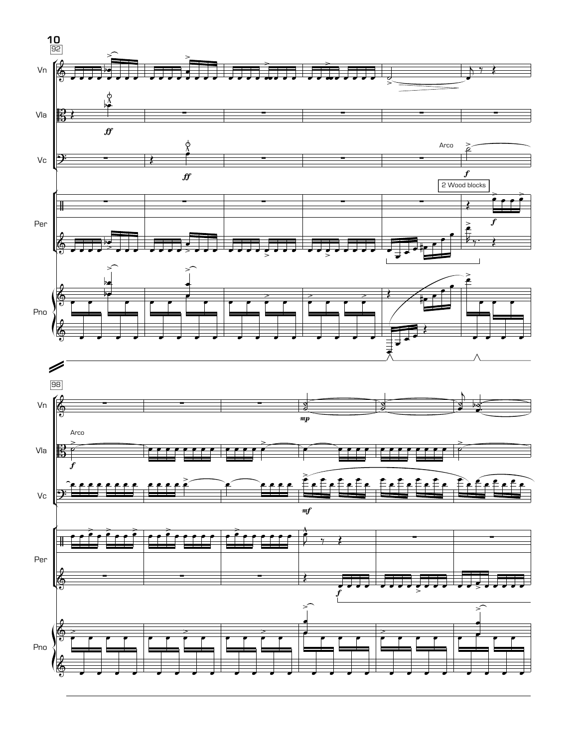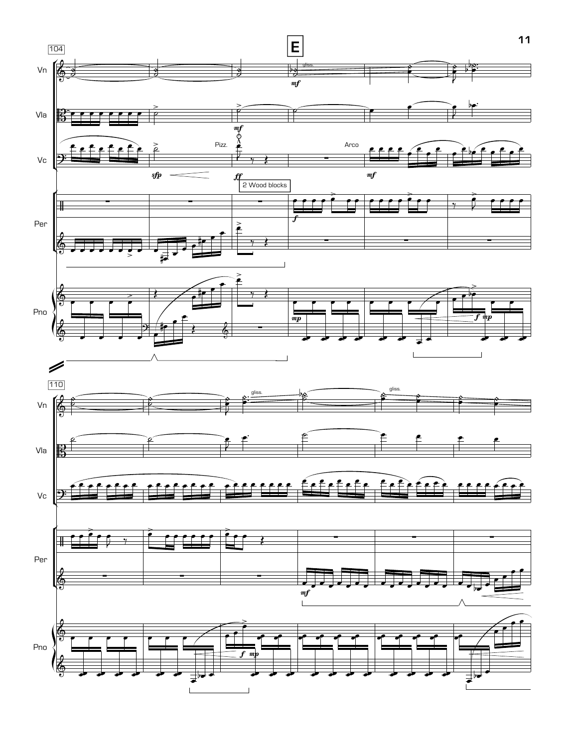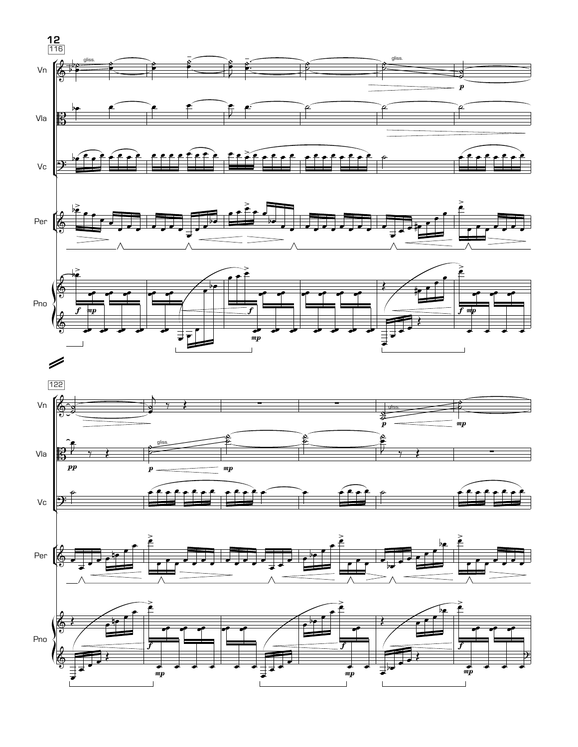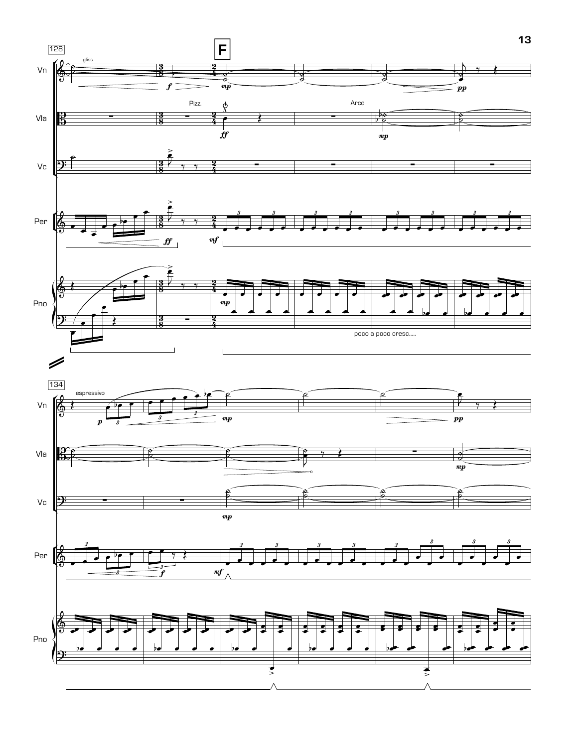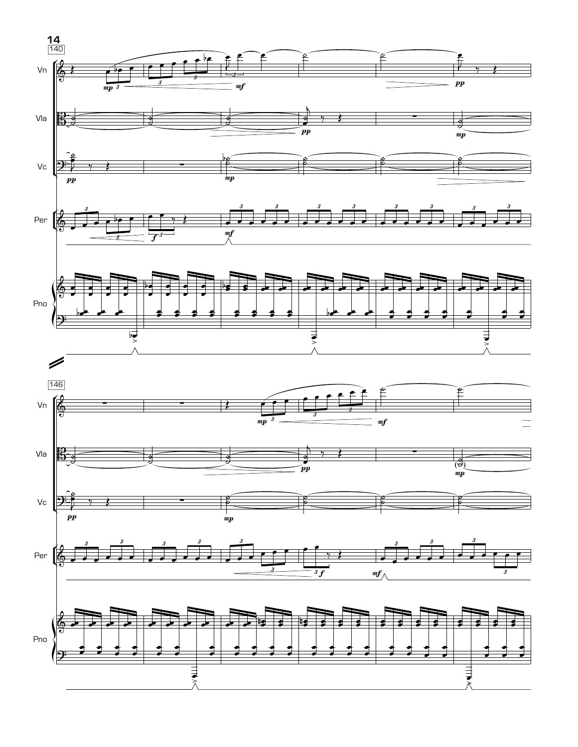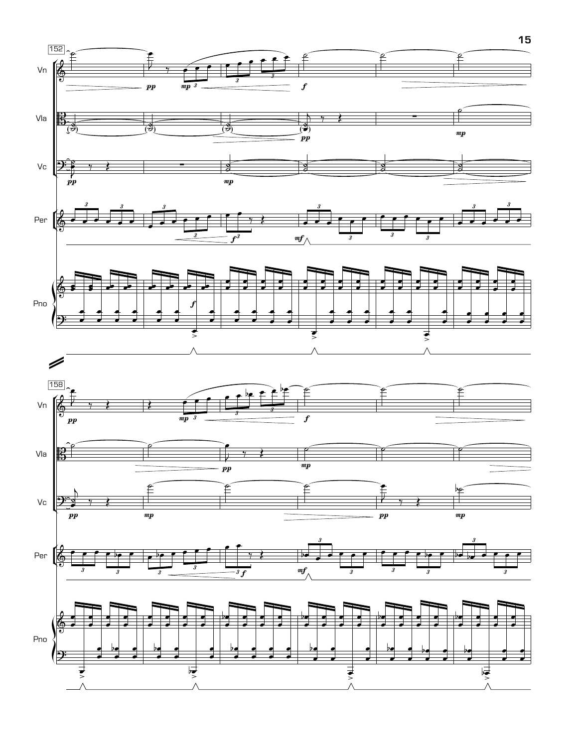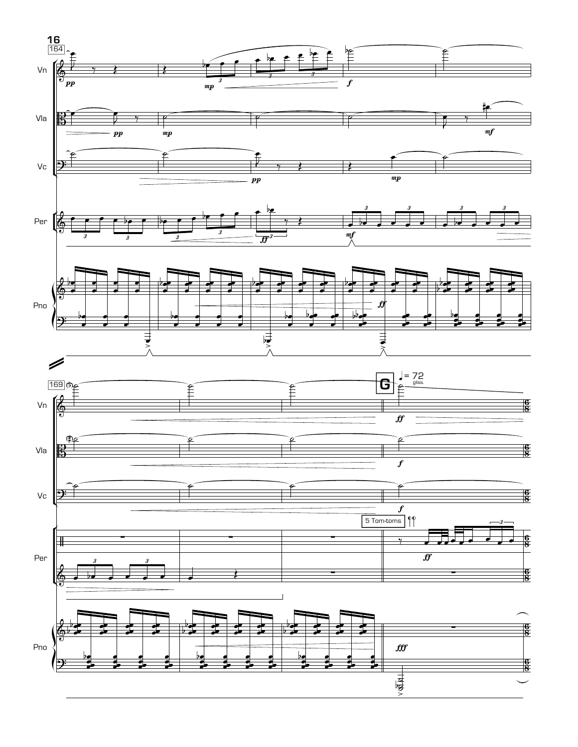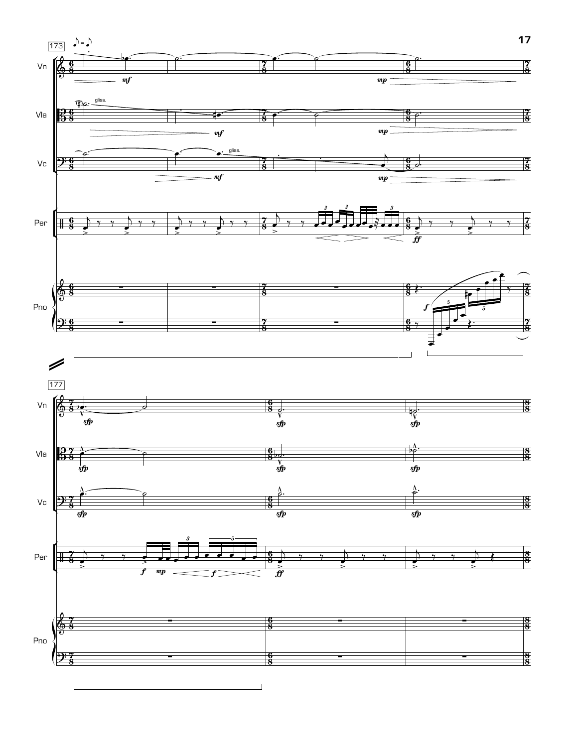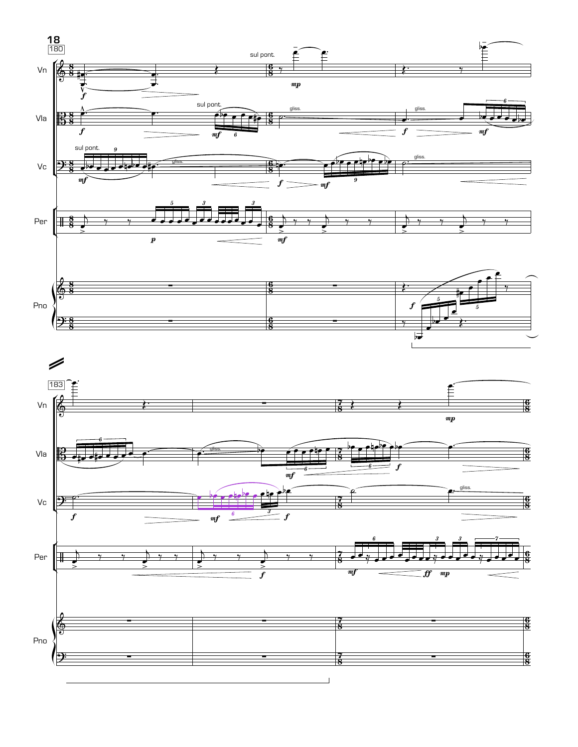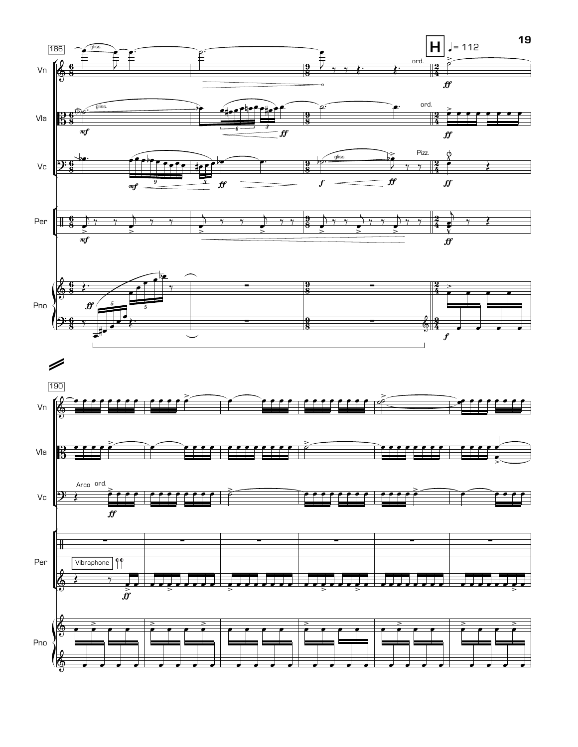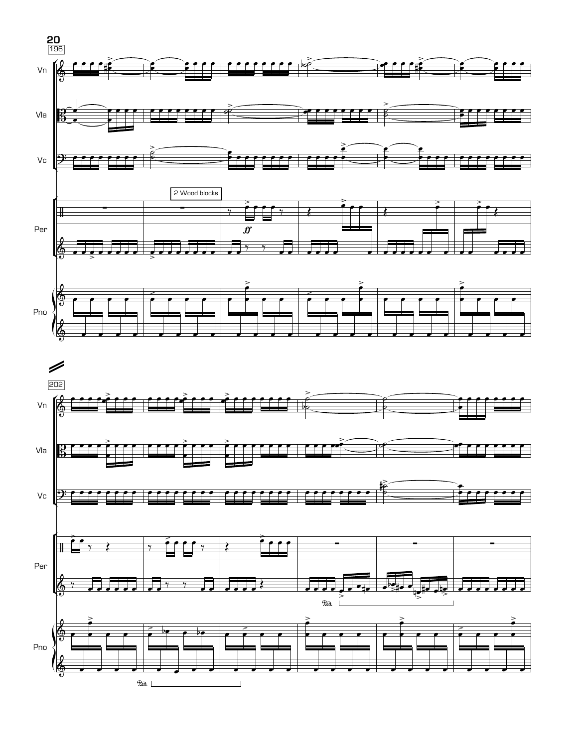

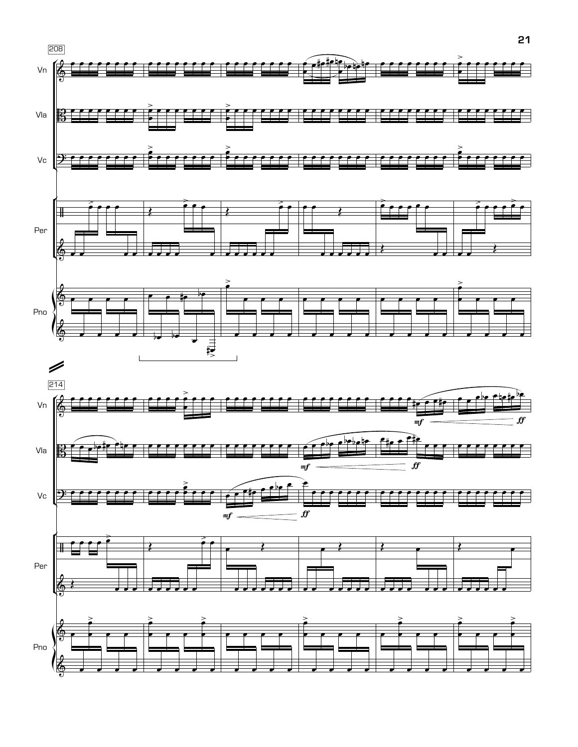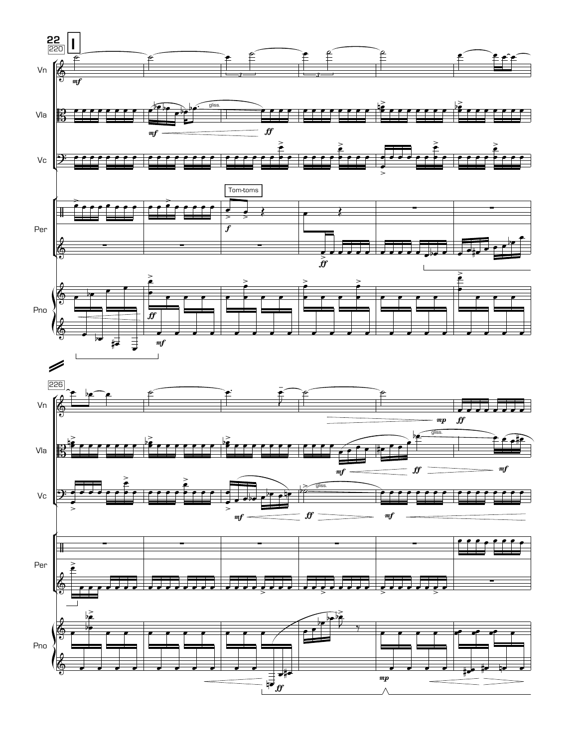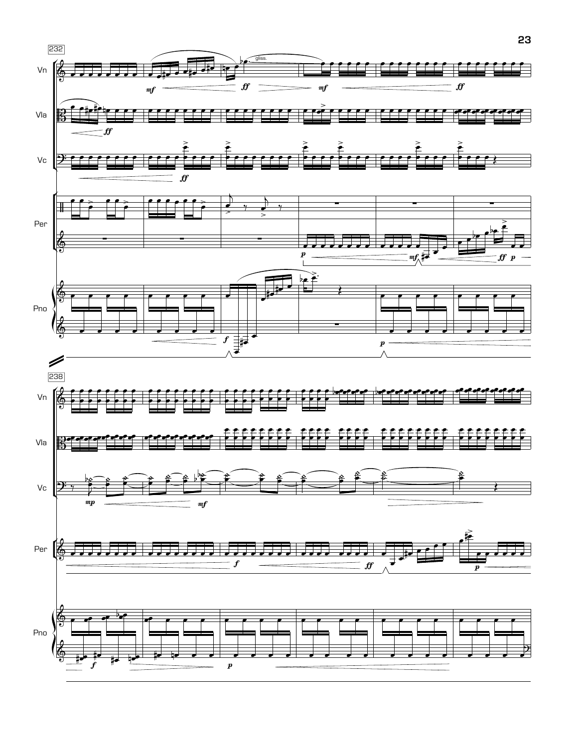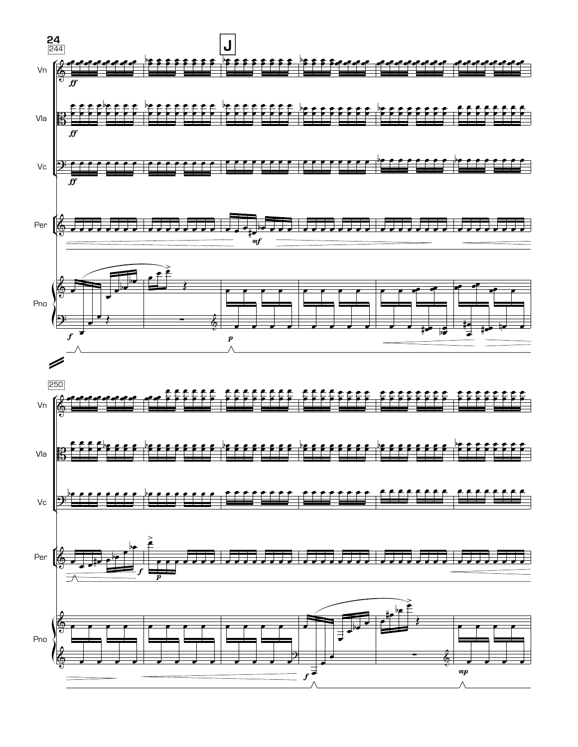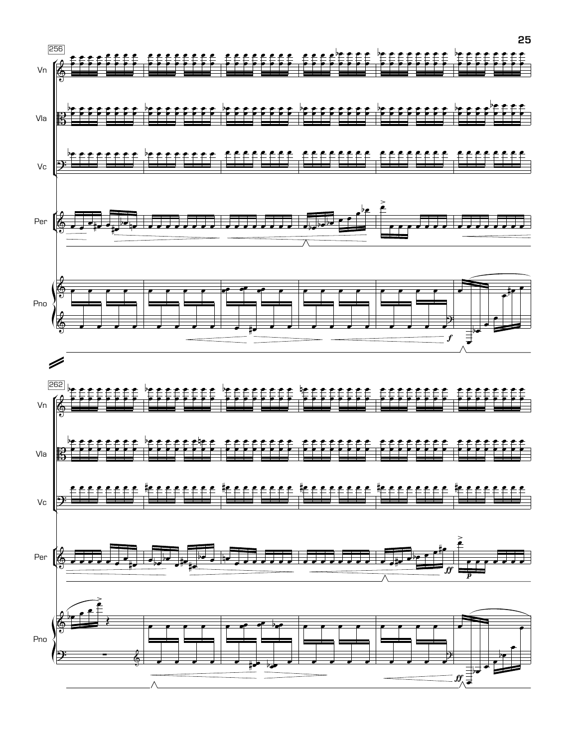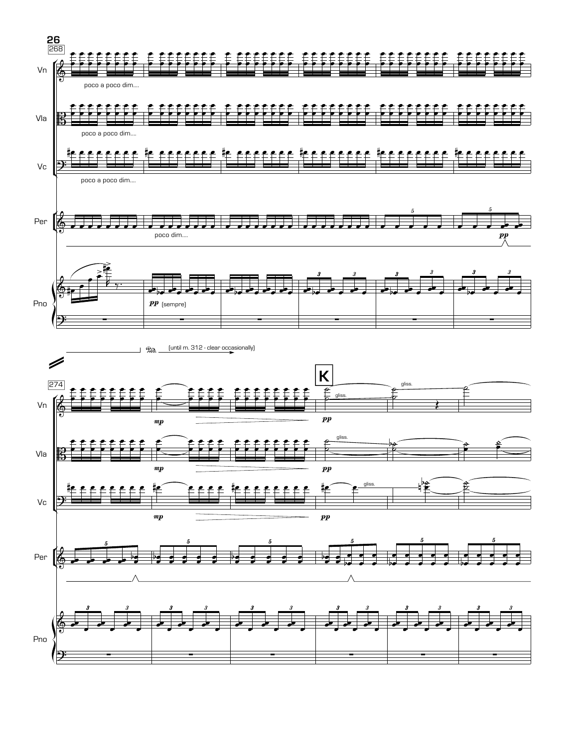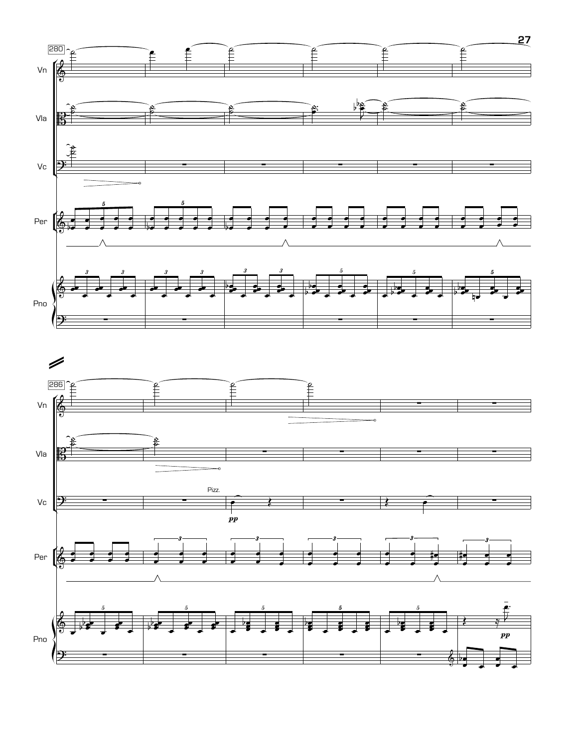

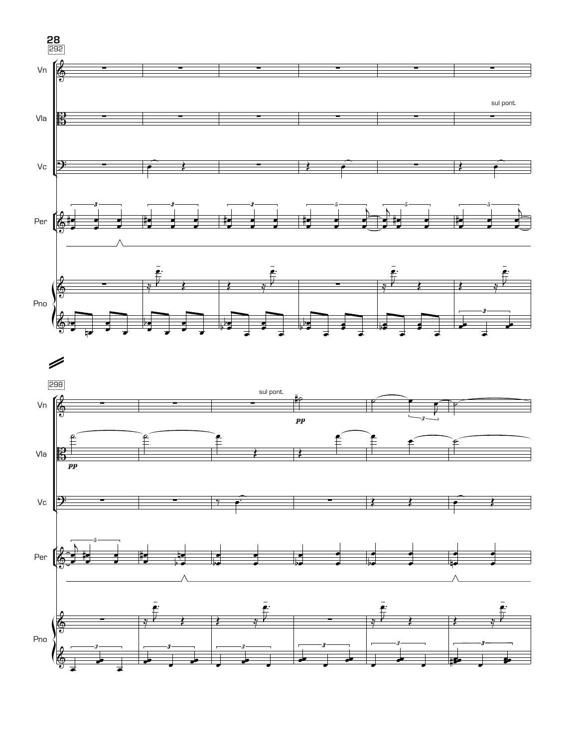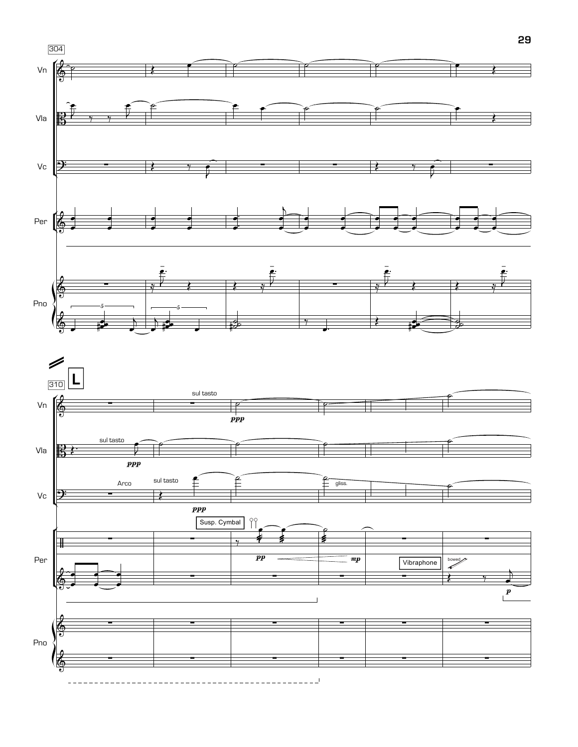



- 1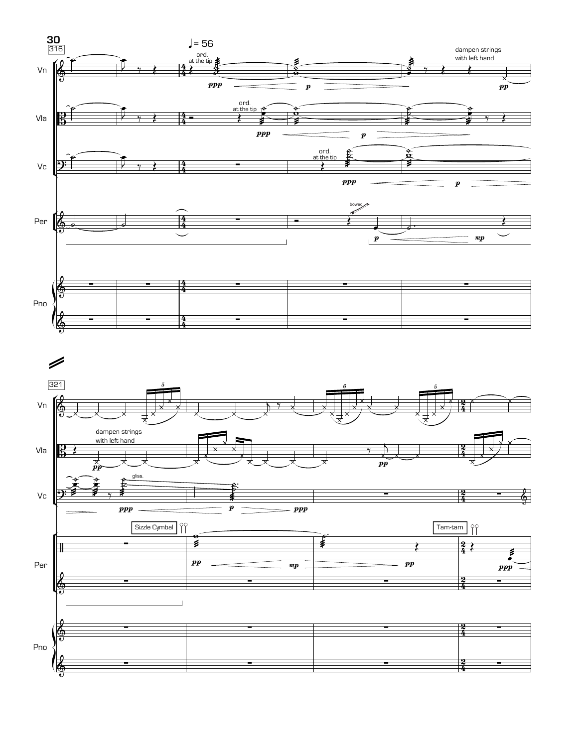

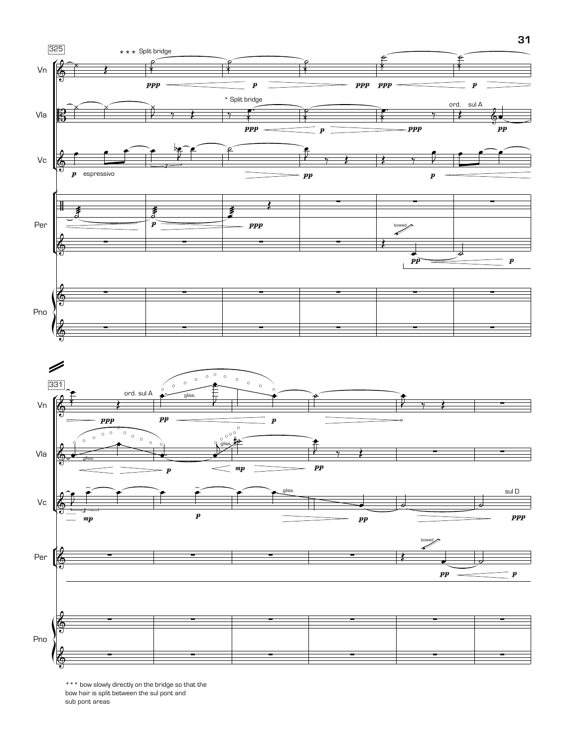

 $\text{***}$  bow slowly directly on the bridge so that the bow hair is split between the sul pont and sub pont areas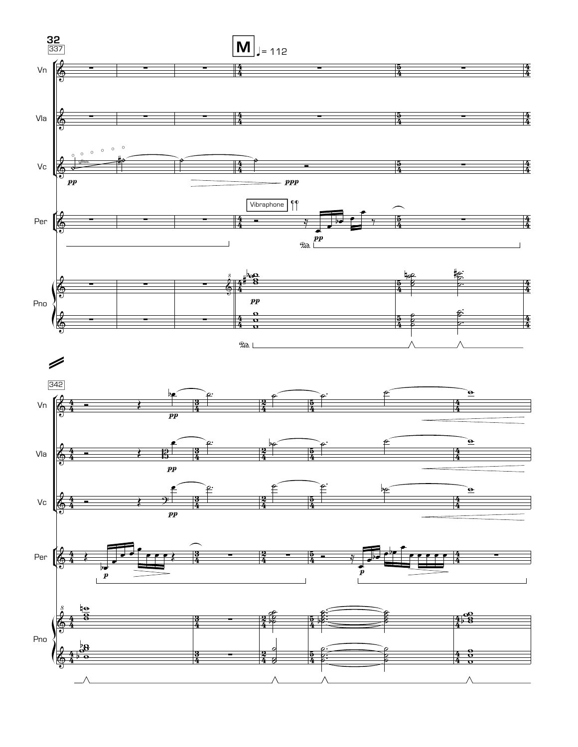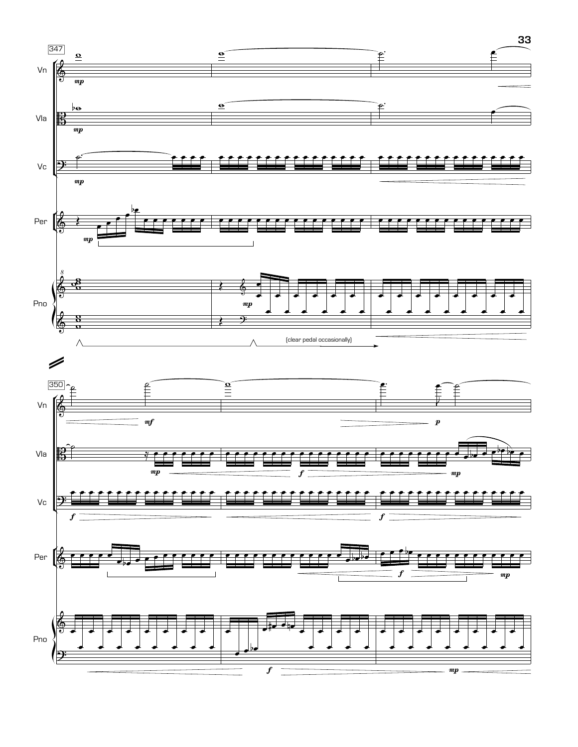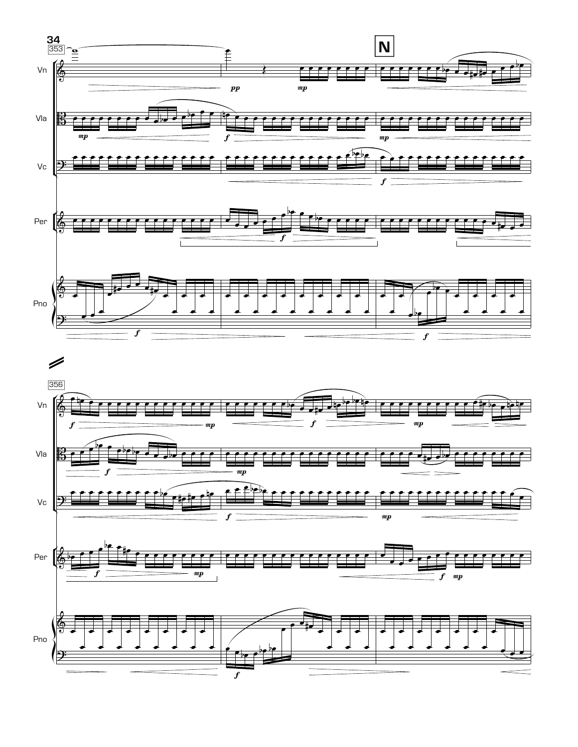





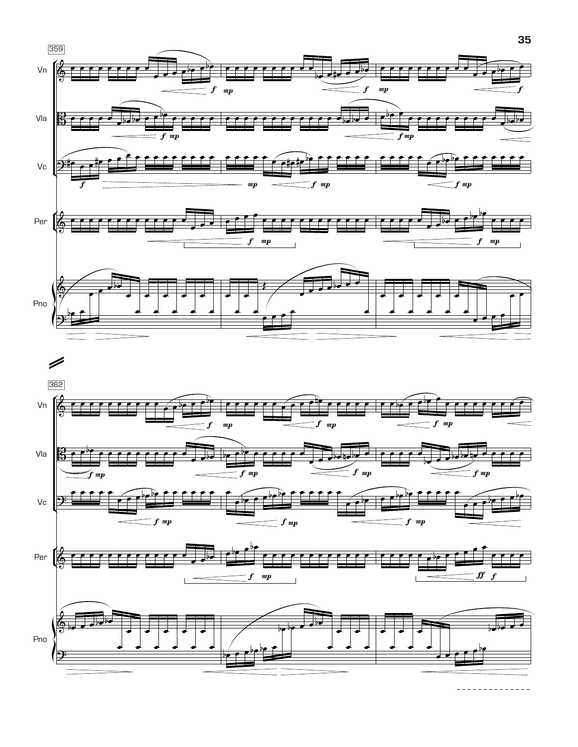

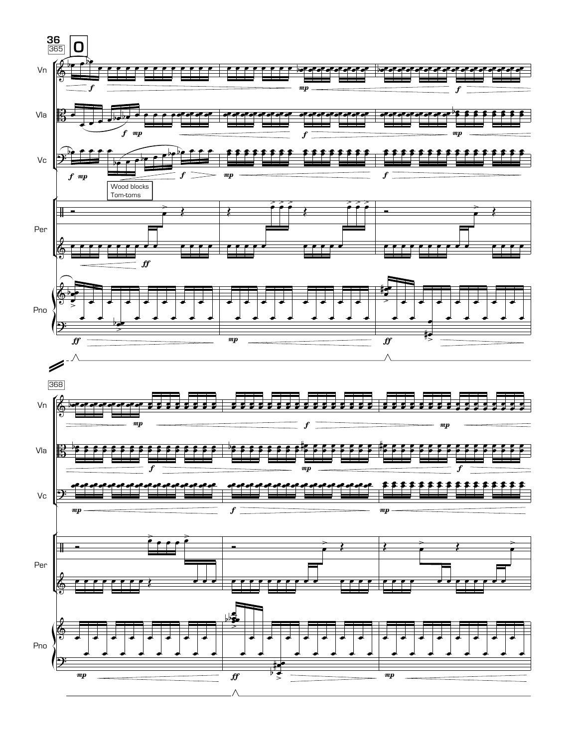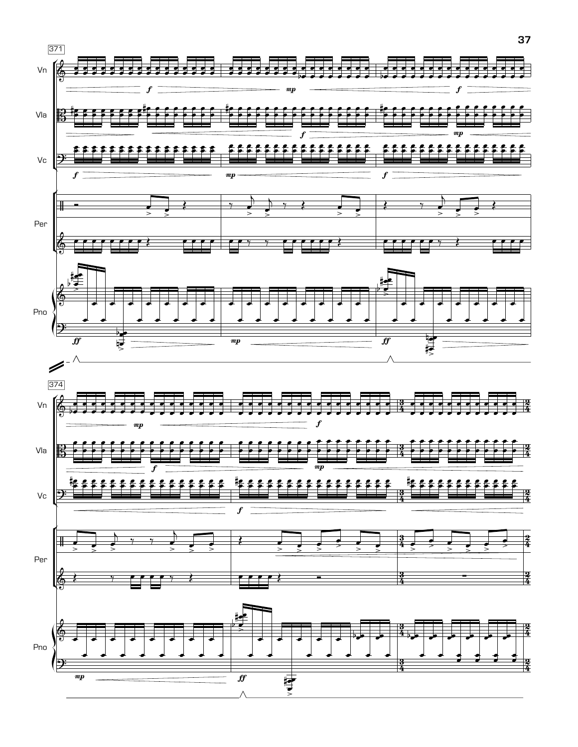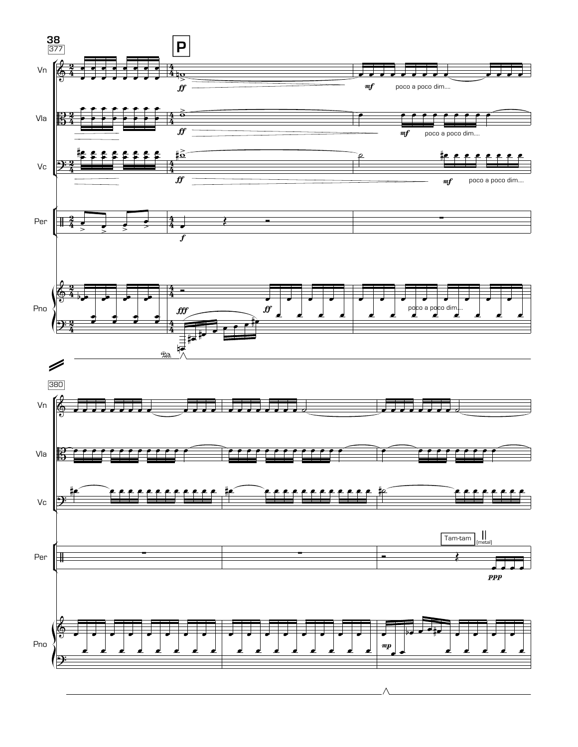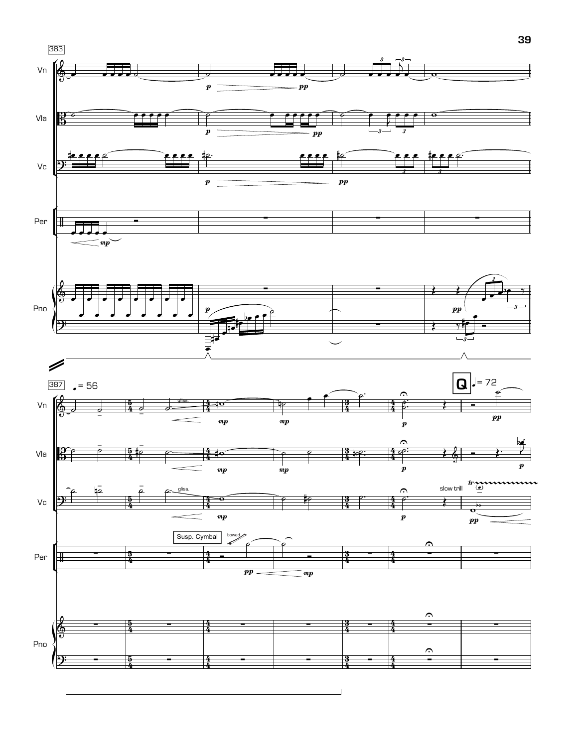